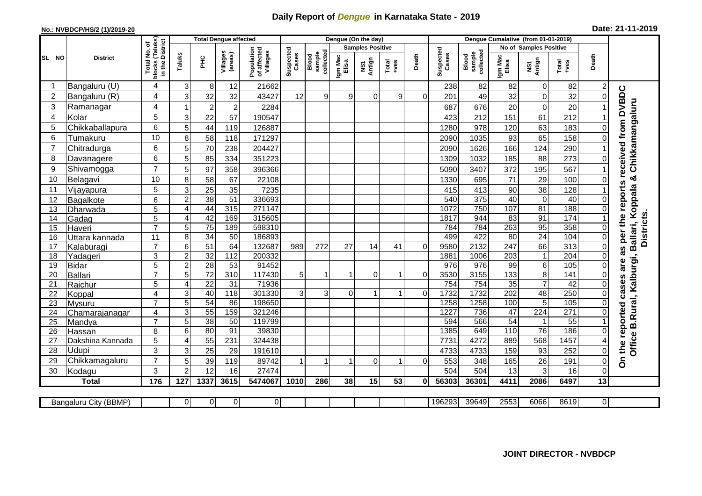## **Daily Report of** *Dengue* **in Karnataka State - 2019**

## **No.: NVBDCP/HS/2 (1)/2019-20**

| Date: 21-11-2019 |  |  |  |  |
|------------------|--|--|--|--|
|------------------|--|--|--|--|

|                |                            |                                      | <b>Total Dengue affected</b> |                 |                     |                                       | Dengue (On the day) |                              |                  |                         |               |          |                    | Dengue Cumalative (from 01-01-2019) |                  |                                  |                  |                 |                                        |  |
|----------------|----------------------------|--------------------------------------|------------------------------|-----------------|---------------------|---------------------------------------|---------------------|------------------------------|------------------|-------------------------|---------------|----------|--------------------|-------------------------------------|------------------|----------------------------------|------------------|-----------------|----------------------------------------|--|
|                |                            | (Taluks)<br>District<br>p            |                              |                 |                     |                                       |                     |                              |                  | <b>Samples Positive</b> |               |          |                    |                                     |                  | <b>No of Samples Positive</b>    |                  |                 |                                        |  |
| SL NO          | <b>District</b>            | Total No.<br><b>blocks</b><br>in the | Taluks                       | <b>PHC</b>      | Villages<br>(areas) | Population<br>of affected<br>Villages | Suspected<br>Cases  | sample<br>collected<br>Blood | Igm Mac<br>Elisa | NS1<br>Antign           | Total<br>+ves | Death    | Suspected<br>Cases | collected<br>sample<br>Blood        | Igm Mac<br>Elisa | NS1<br>Antign                    | Total<br>$+ves$  | Death           |                                        |  |
|                | Bangaluru (U)              | 4                                    | 3                            | 8               | 12                  | 21662                                 |                     |                              |                  |                         |               |          | 238                | 82                                  | 82               | $\mathbf 0$                      | 82               |                 |                                        |  |
| $\overline{2}$ | Bangaluru (R)              | 4                                    | 3                            | 32              | 32                  | 43427                                 | 12                  | 9                            | 9                | $\Omega$                | 9             | $\Omega$ | 201                | 49                                  | 32               | $\mathbf 0$                      | 32               | $\mathbf{0}$    | received from DVBDC                    |  |
| 3              | Ramanagar                  | 4                                    |                              | $\overline{2}$  | $\overline{c}$      | 2284                                  |                     |                              |                  |                         |               |          | 687                | 676                                 | 20               | $\mathbf 0$                      | 20               |                 | Chikkamangaluru                        |  |
| $\overline{4}$ | Kolar                      | 5                                    | 3                            | 22              | 57                  | 190547                                |                     |                              |                  |                         |               |          | 423                | 212                                 | 151              | 61                               | 212              |                 |                                        |  |
| 5              | Chikkaballapura            | 6                                    | 5                            | 44              | 119                 | 126887                                |                     |                              |                  |                         |               |          | 1280               | 978                                 | 120              | 63                               | 183              | 0               |                                        |  |
| 6              | Tumakuru                   | 10                                   | 8                            | 58              | 118                 | 171297                                |                     |                              |                  |                         |               |          | 2090               | 1035                                | 93               | 65                               | 158              |                 |                                        |  |
| 7              | Chitradurga                | 6                                    | 5                            | 70              | 238                 | 204427                                |                     |                              |                  |                         |               |          | 2090               | 1626                                | 166              | 124                              | 290              |                 |                                        |  |
| 8              | Davanagere                 | 6                                    | 5                            | 85              | 334                 | 351223                                |                     |                              |                  |                         |               |          | 1309               | 1032                                | 185              | 88                               | 273              | 0               |                                        |  |
| 9              | Shivamogga                 | $\overline{7}$                       | 5                            | 97              | 358                 | 396366                                |                     |                              |                  |                         |               |          | 5090               | 3407                                | 372              | 195                              | 567              |                 |                                        |  |
| 10             | Belagavi                   | 10                                   | 8                            | 58              | 67                  | 22108                                 |                     |                              |                  |                         |               |          | 1330               | 695                                 | 71               | 29                               | 100              |                 | ×                                      |  |
| 11             | Vijayapura                 | 5                                    | 3                            | 25              | 35                  | 7235                                  |                     |                              |                  |                         |               |          | 415                | 413                                 | 90               | 38                               | 128              |                 | as per the reports<br>Ballari, Koppala |  |
| 12             | Bagalkote                  | 6                                    | $\overline{c}$               | 38              | $\overline{51}$     | 336693                                |                     |                              |                  |                         |               |          | 540                | 375                                 | 40               | $\overline{0}$                   | 40               | $\mathbf{0}$    |                                        |  |
| 13             | Dharwada                   | 5                                    | $\overline{4}$               | 44              | 315                 | 271147                                |                     |                              |                  |                         |               |          | 1072               | 750                                 | 107              | 81                               | 188              | $\Omega$        |                                        |  |
| 14             | Gadag                      | $\overline{5}$                       | $\overline{4}$               | 42              | 169                 | 315605                                |                     |                              |                  |                         |               |          | 1817               | 944                                 | 83               | 91                               | 174              |                 |                                        |  |
| 15             | Haveri                     | $\overline{7}$                       | 5                            | $\overline{75}$ | 189                 | 598310                                |                     |                              |                  |                         |               |          | 784                | 784                                 | 263              | 95                               | 358              | $\mathbf{0}$    |                                        |  |
| 16             | Uttara kannada             | 11                                   | 8                            | 34              | 50                  | 186893                                |                     |                              |                  |                         |               |          | 499                | 422                                 | $\overline{80}$  | 24                               | 104              | $\mathbf{0}$    | <b>Districts</b>                       |  |
| 17             | Kalaburagi                 | $\overline{7}$                       | 6                            | 51              | 64                  | 132687                                | 989                 | 272                          | 27               | 14                      | 41            | $\Omega$ | 9580               | 2132                                | $\overline{247}$ | 66                               | 313              | 0               |                                        |  |
| 18             | Yadageri                   | 3                                    | $\overline{c}$               | 32              | 112                 | 200332                                |                     |                              |                  |                         |               |          | 1881               | 1006                                | 203              | $\mathbf{1}$                     | $\overline{204}$ |                 |                                        |  |
| 19             | <b>Bidar</b>               | 5                                    | $\overline{2}$               | 28              | 53                  | 91452                                 |                     |                              |                  |                         |               |          | $\overline{976}$   | 976                                 | 99               | 6                                | 105              | $\Omega$        | are                                    |  |
| 20             | Ballari                    | $\overline{7}$                       | $\overline{5}$               | $\overline{72}$ | 310                 | 117430                                | 5 <sup>5</sup>      |                              | 1                | $\Omega$                | 1             | 0        | 3530               | 3155                                | 133              | $\overline{8}$                   | 141              | $\Omega$        |                                        |  |
| 21             | Raichur                    | 5                                    | $\overline{4}$               | $\overline{22}$ | 31                  | 71936                                 |                     |                              |                  |                         |               |          | 754                | 754                                 | 35               | $\overline{7}$                   | 42               | $\Omega$        | B.Rural, Kalburgi,<br>cases            |  |
| 22             | Koppal                     | 4                                    | 3                            | 40              | 118                 | 301330                                | 3                   | 3                            | $\Omega$         |                         | 1             | $\Omega$ | 1732               | 1732                                | 202              | 48                               | 250              | $\mathbf{0}$    |                                        |  |
| 23             | Mysuru                     | $\overline{7}$                       | 5                            | 54              | 86                  | 198650                                |                     |                              |                  |                         |               |          | 1258               | 1258                                | 100              | 5                                | 105              | 0               |                                        |  |
| 24             | Chamarajanagar             | 4<br>$\overline{7}$                  | 3<br>5                       | 55<br>38        | 159<br>50           | 321246<br>119799                      |                     |                              |                  |                         |               |          | 1227<br>594        | 736<br>566                          | 47<br>54         | $\overline{224}$<br>$\mathbf{1}$ | 271<br>55        | $\Omega$        |                                        |  |
| 25<br>26       | Mandya                     | 8                                    | 6                            | 80              | 91                  | 39830                                 |                     |                              |                  |                         |               |          | 1385               | 649                                 | 110              | $\overline{76}$                  | 186              | $\Omega$        |                                        |  |
| 27             | Hassan<br>Dakshina Kannada | 5                                    | 4                            | 55              | 231                 | 324438                                |                     |                              |                  |                         |               |          | 7731               | 4272                                | 889              | 568                              | 1457             |                 |                                        |  |
| 28             | Udupi                      | 3                                    | 3                            | 25              | 29                  | 191610                                |                     |                              |                  |                         |               |          | 4733               | 4733                                | 159              | 93                               | 252              | 0               | Office                                 |  |
| 29             | Chikkamagaluru             | $\overline{7}$                       | 5                            | 39              | 119                 | 89742                                 |                     |                              |                  | 0                       | 1             | 0        | 553                | 348                                 | 165              | 26                               | 191              | 0               | On the reported                        |  |
| 30             | Kodagu                     | 3                                    | $\overline{2}$               | 12              | 16                  | 27474                                 |                     |                              |                  |                         |               |          | 504                | 504                                 | 13               | 3                                | 16               | $\Omega$        |                                        |  |
|                | <b>Total</b>               | 176                                  | 127                          | 1337            | 3615                | 5474067                               | 1010                | 286                          | 38               | $\overline{15}$         | 53            | 01       | 56303              | 36301                               | 4411             | 2086                             | 6497             | $\overline{13}$ |                                        |  |
|                |                            |                                      |                              |                 |                     |                                       |                     |                              |                  |                         |               |          |                    |                                     |                  |                                  |                  |                 |                                        |  |
|                | Bangaluru City (BBMP)      |                                      | 0                            | 0               | 0                   | $\overline{0}$                        |                     |                              |                  |                         |               |          | 196293             | 39649                               | 2553             | 6066                             | 8619             | 01              |                                        |  |